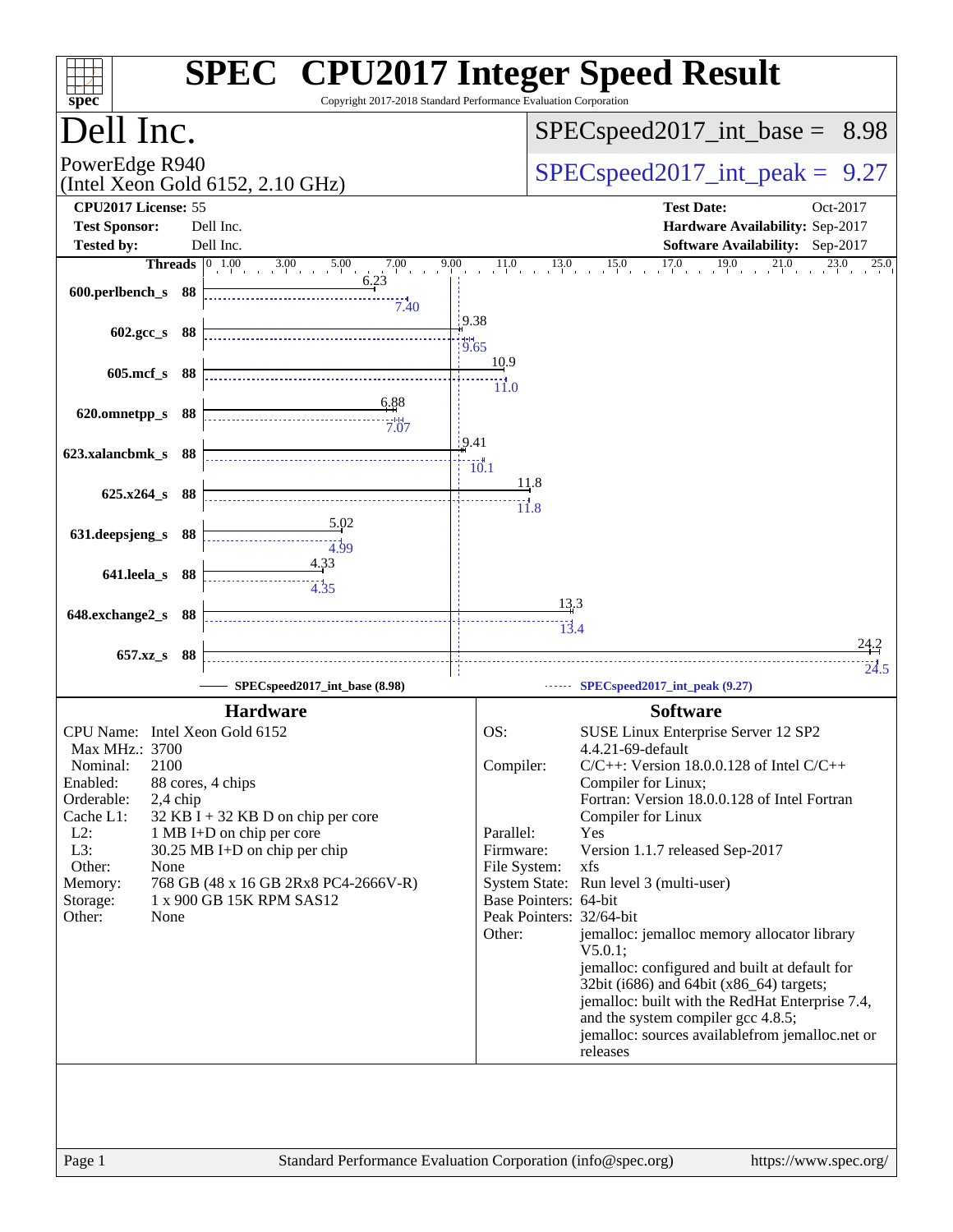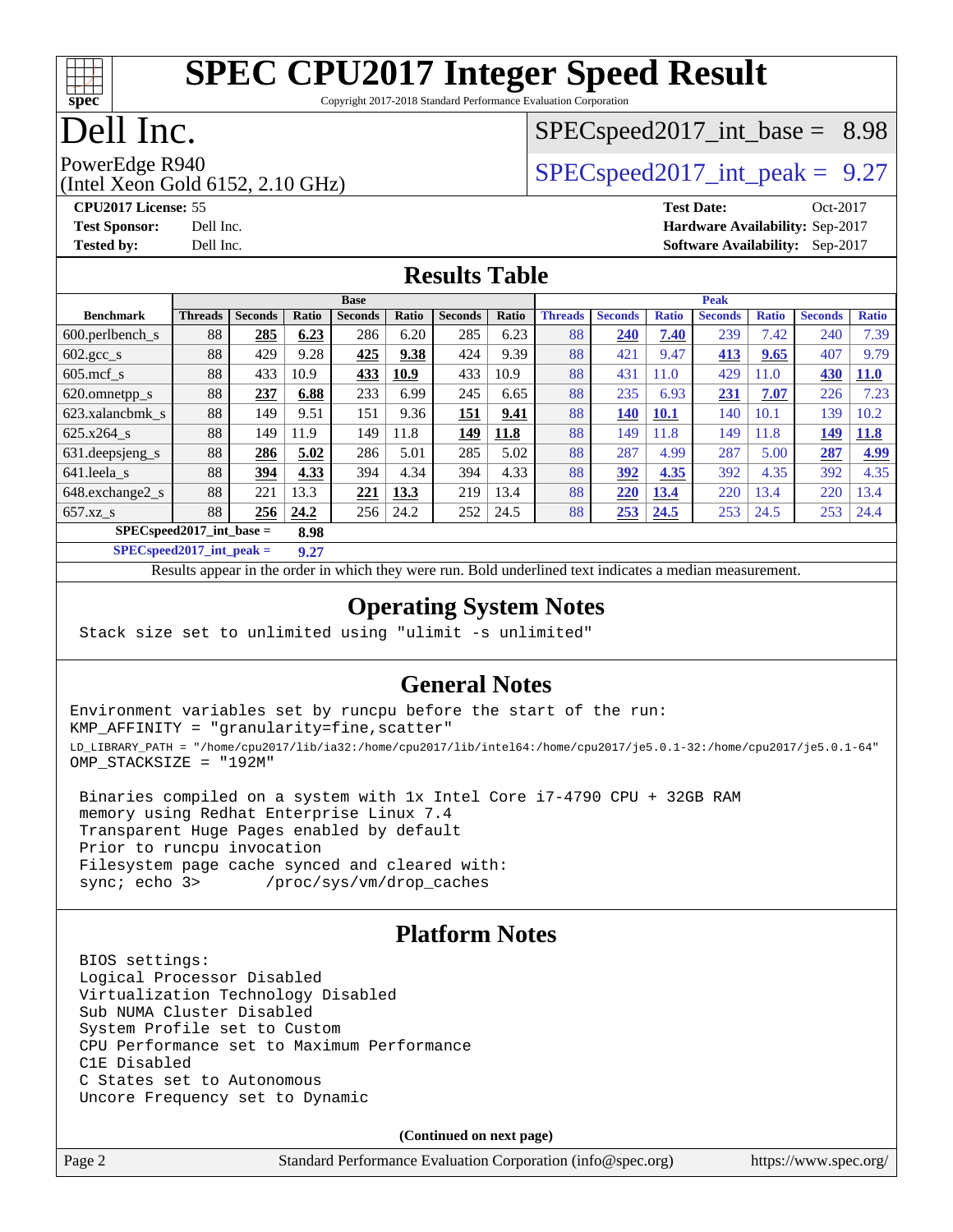

Copyright 2017-2018 Standard Performance Evaluation Corporation

## Dell Inc.

## $SPECspeed2017\_int\_base = 8.98$

(Intel Xeon Gold 6152, 2.10 GHz)

PowerEdge R940<br>  $SPEC speed2017$  int\_peak = 9.27

**[CPU2017 License:](http://www.spec.org/auto/cpu2017/Docs/result-fields.html#CPU2017License)** 55 **[Test Date:](http://www.spec.org/auto/cpu2017/Docs/result-fields.html#TestDate)** Oct-2017 **[Test Sponsor:](http://www.spec.org/auto/cpu2017/Docs/result-fields.html#TestSponsor)** Dell Inc. **[Hardware Availability:](http://www.spec.org/auto/cpu2017/Docs/result-fields.html#HardwareAvailability)** Sep-2017 **[Tested by:](http://www.spec.org/auto/cpu2017/Docs/result-fields.html#Testedby)** Dell Inc. **[Software Availability:](http://www.spec.org/auto/cpu2017/Docs/result-fields.html#SoftwareAvailability)** Sep-2017

#### **[Results Table](http://www.spec.org/auto/cpu2017/Docs/result-fields.html#ResultsTable)**

|                                     | <b>Base</b>    |                |       |                |       | <b>Peak</b>    |       |                |                |              |                |              |                |              |
|-------------------------------------|----------------|----------------|-------|----------------|-------|----------------|-------|----------------|----------------|--------------|----------------|--------------|----------------|--------------|
| <b>Benchmark</b>                    | <b>Threads</b> | <b>Seconds</b> | Ratio | <b>Seconds</b> | Ratio | <b>Seconds</b> | Ratio | <b>Threads</b> | <b>Seconds</b> | <b>Ratio</b> | <b>Seconds</b> | <b>Ratio</b> | <b>Seconds</b> | <b>Ratio</b> |
| $600.$ perlbench $\mathsf{S}$       | 88             | 285            | 6.23  | 286            | 6.20  | 285            | 6.23  | 88             | 240            | 7.40         | 239            | 7.42         | 240            | 7.39         |
| $602.\text{gcc}\_\text{s}$          | 88             | 429            | 9.28  | 425            | 9.38  | 424            | 9.39  | 88             | 421            | 9.47         | 413            | 9.65         | 407            | 9.79         |
| $605$ .mcf s                        | 88             | 433            | 10.9  | 433            | 10.9  | 433            | 10.9  | 88             | 431            | 11.0         | 429            | 11.0         | 430            | <b>11.0</b>  |
| 620.omnetpp_s                       | 88             | 237            | 6.88  | 233            | 6.99  | 245            | 6.65  | 88             | 235            | 6.93         | 231            | 7.07         | 226            | 7.23         |
| 623.xalancbmk s                     | 88             | 149            | 9.51  | 151            | 9.36  | 151            | 9.41  | 88             | 140            | <b>10.1</b>  | 140            | 10.1         | 139            | 10.2         |
| 625.x264 s                          | 88             | 149            | 11.9  | 149            | 11.8  | 149            | 11.8  | 88             | 149            | 11.8         | 149            | 11.8         | 149            | 11.8         |
| 631.deepsjeng_s                     | 88             | 286            | 5.02  | 286            | 5.01  | 285            | 5.02  | 88             | 287            | 4.99         | 287            | 5.00         | 287            | 4.99         |
| 641.leela s                         | 88             | 394            | 4.33  | 394            | 4.34  | 394            | 4.33  | 88             | 392            | 4.35         | 392            | 4.35         | 392            | 4.35         |
| 648.exchange2_s                     | 88             | 221            | 13.3  | 221            | 13.3  | 219            | 13.4  | 88             | 220            | 13.4         | 220            | 3.4          | 220            | 13.4         |
| $657.xz$ s                          | 88             | 256            | 24.2  | 256            | 24.2  | 252            | 24.5  | 88             | 253            | 24.5         | 253            | 24.5         | 253            | 24.4         |
| $SPEC speed2017$ int base =<br>8.98 |                |                |       |                |       |                |       |                |                |              |                |              |                |              |

**[SPECspeed2017\\_int\\_peak =](http://www.spec.org/auto/cpu2017/Docs/result-fields.html#SPECspeed2017intpeak) 9.27**

Results appear in the [order in which they were run.](http://www.spec.org/auto/cpu2017/Docs/result-fields.html#RunOrder) Bold underlined text [indicates a median measurement](http://www.spec.org/auto/cpu2017/Docs/result-fields.html#Median).

#### **[Operating System Notes](http://www.spec.org/auto/cpu2017/Docs/result-fields.html#OperatingSystemNotes)**

Stack size set to unlimited using "ulimit -s unlimited"

#### **[General Notes](http://www.spec.org/auto/cpu2017/Docs/result-fields.html#GeneralNotes)**

Environment variables set by runcpu before the start of the run: KMP\_AFFINITY = "granularity=fine,scatter" LD\_LIBRARY\_PATH = "/home/cpu2017/lib/ia32:/home/cpu2017/lib/intel64:/home/cpu2017/je5.0.1-32:/home/cpu2017/je5.0.1-64" OMP\_STACKSIZE = "192M"

 Binaries compiled on a system with 1x Intel Core i7-4790 CPU + 32GB RAM memory using Redhat Enterprise Linux 7.4 Transparent Huge Pages enabled by default Prior to runcpu invocation Filesystem page cache synced and cleared with: sync; echo 3> /proc/sys/vm/drop\_caches

#### **[Platform Notes](http://www.spec.org/auto/cpu2017/Docs/result-fields.html#PlatformNotes)**

 BIOS settings: Logical Processor Disabled Virtualization Technology Disabled Sub NUMA Cluster Disabled System Profile set to Custom CPU Performance set to Maximum Performance C1E Disabled C States set to Autonomous Uncore Frequency set to Dynamic

**(Continued on next page)**

Page 2 Standard Performance Evaluation Corporation [\(info@spec.org\)](mailto:info@spec.org) <https://www.spec.org/>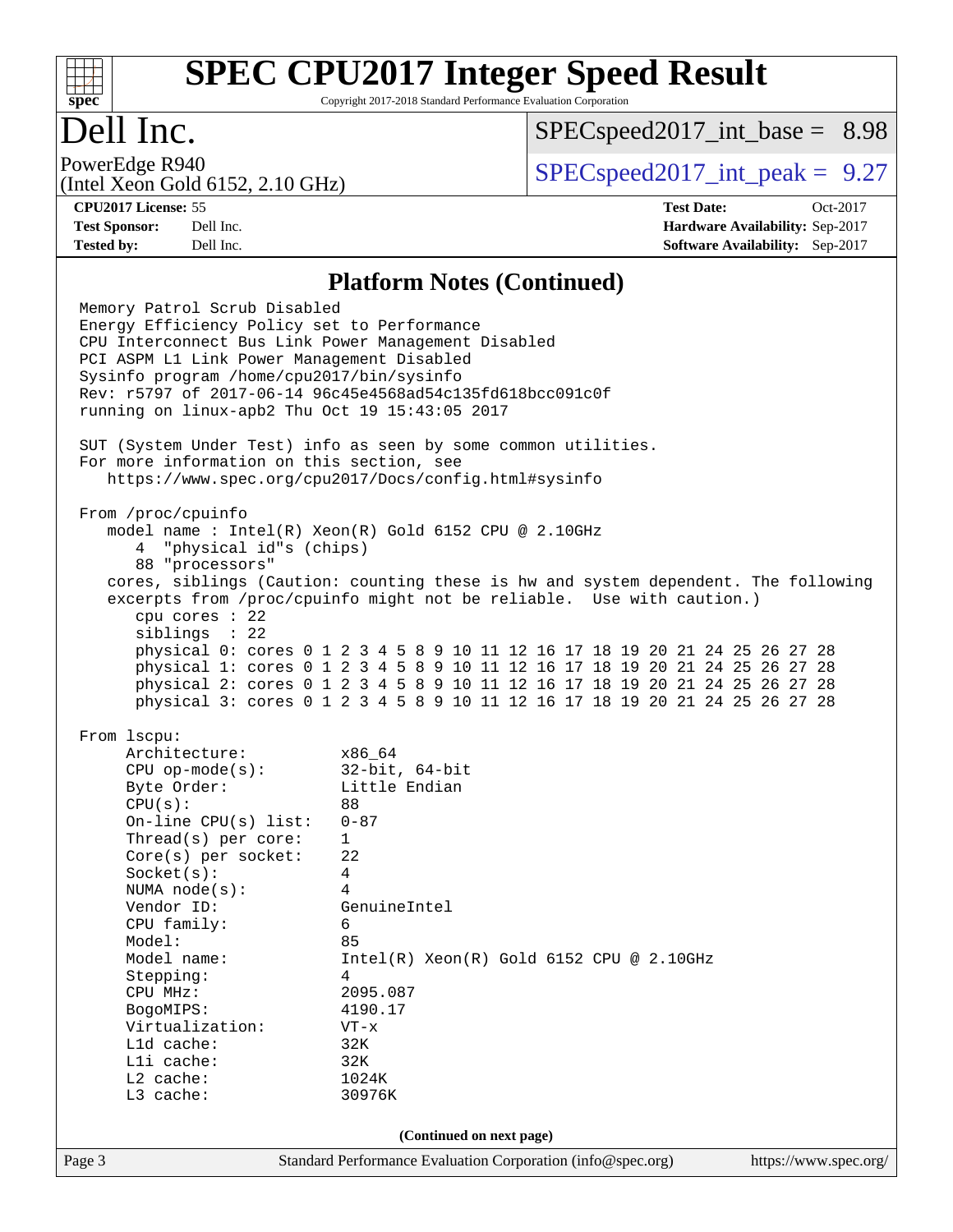

Copyright 2017-2018 Standard Performance Evaluation Corporation

## Dell Inc.

 $SPECspeed2017\_int\_base = 8.98$ 

(Intel Xeon Gold 6152, 2.10 GHz)

PowerEdge R940<br>  $SPEC speed2017$  int\_peak = 9.27

**[Tested by:](http://www.spec.org/auto/cpu2017/Docs/result-fields.html#Testedby)** Dell Inc. **[Software Availability:](http://www.spec.org/auto/cpu2017/Docs/result-fields.html#SoftwareAvailability)** Sep-2017

**[CPU2017 License:](http://www.spec.org/auto/cpu2017/Docs/result-fields.html#CPU2017License)** 55 **[Test Date:](http://www.spec.org/auto/cpu2017/Docs/result-fields.html#TestDate)** Oct-2017 **[Test Sponsor:](http://www.spec.org/auto/cpu2017/Docs/result-fields.html#TestSponsor)** Dell Inc. **[Hardware Availability:](http://www.spec.org/auto/cpu2017/Docs/result-fields.html#HardwareAvailability)** Sep-2017

#### **[Platform Notes \(Continued\)](http://www.spec.org/auto/cpu2017/Docs/result-fields.html#PlatformNotes)**

Page 3 Standard Performance Evaluation Corporation [\(info@spec.org\)](mailto:info@spec.org) <https://www.spec.org/> Memory Patrol Scrub Disabled Energy Efficiency Policy set to Performance CPU Interconnect Bus Link Power Management Disabled PCI ASPM L1 Link Power Management Disabled Sysinfo program /home/cpu2017/bin/sysinfo Rev: r5797 of 2017-06-14 96c45e4568ad54c135fd618bcc091c0f running on linux-apb2 Thu Oct 19 15:43:05 2017 SUT (System Under Test) info as seen by some common utilities. For more information on this section, see <https://www.spec.org/cpu2017/Docs/config.html#sysinfo> From /proc/cpuinfo model name : Intel(R) Xeon(R) Gold 6152 CPU @ 2.10GHz 4 "physical id"s (chips) 88 "processors" cores, siblings (Caution: counting these is hw and system dependent. The following excerpts from /proc/cpuinfo might not be reliable. Use with caution.) cpu cores : 22 siblings : 22 physical 0: cores 0 1 2 3 4 5 8 9 10 11 12 16 17 18 19 20 21 24 25 26 27 28 physical 1: cores 0 1 2 3 4 5 8 9 10 11 12 16 17 18 19 20 21 24 25 26 27 28 physical 2: cores 0 1 2 3 4 5 8 9 10 11 12 16 17 18 19 20 21 24 25 26 27 28 physical 3: cores 0 1 2 3 4 5 8 9 10 11 12 16 17 18 19 20 21 24 25 26 27 28 From lscpu: Architecture: x86\_64 CPU op-mode(s): 32-bit, 64-bit Byte Order: Little Endian  $CPU(s):$  88 On-line CPU(s) list: 0-87 Thread(s) per core: 1 Core(s) per socket: 22 Socket(s): 4 NUMA node(s): 4 Vendor ID: GenuineIntel CPU family: 6 Model: 85 Model name: Intel(R) Xeon(R) Gold 6152 CPU @ 2.10GHz Stepping: 4 CPU MHz: 2095.087 BogoMIPS: 4190.17 Virtualization: VT-x L1d cache: 32K<br>
L1i cache: 32K  $L1i$  cache: L2 cache: 1024K L3 cache: 30976K **(Continued on next page)**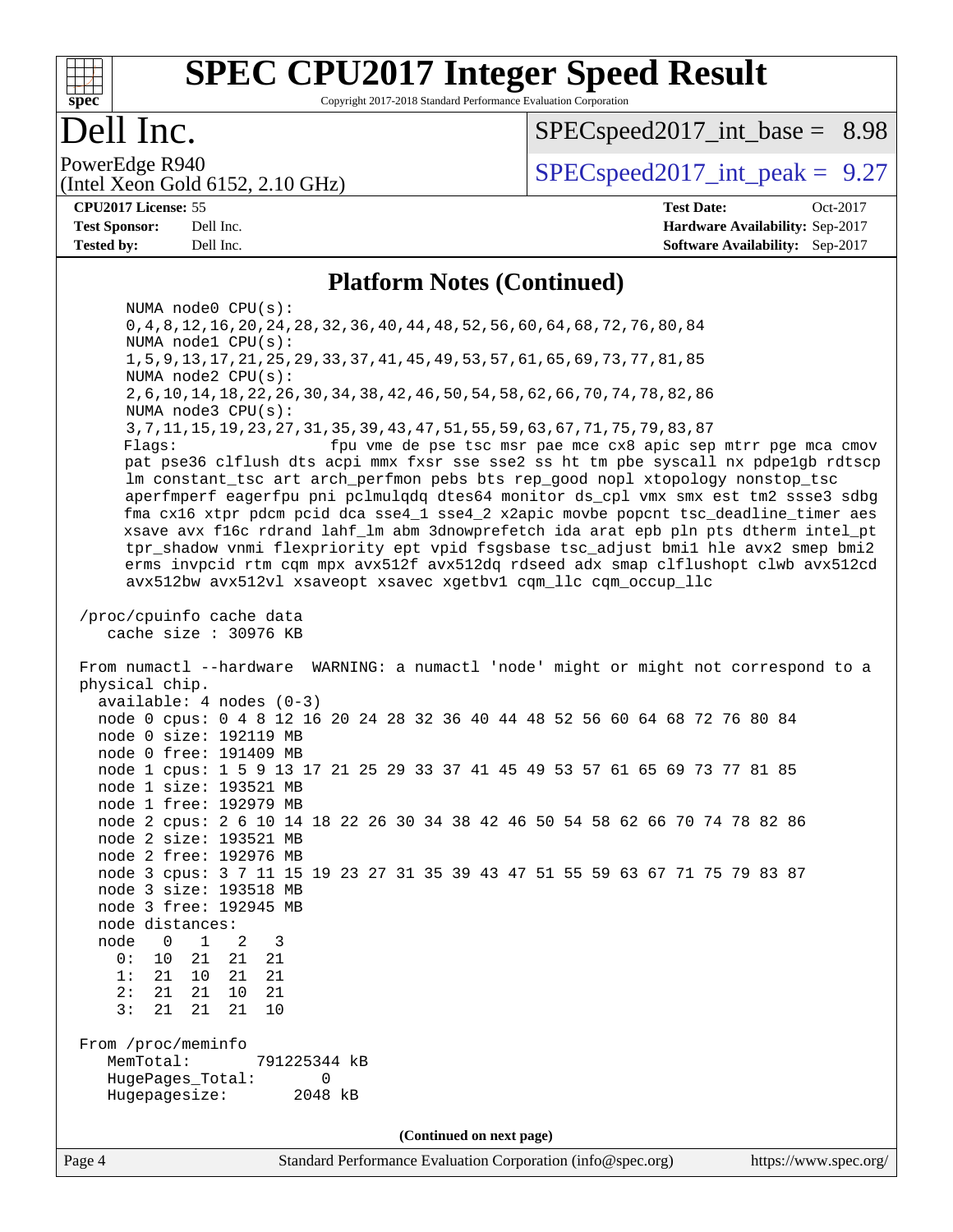

Copyright 2017-2018 Standard Performance Evaluation Corporation

### Dell Inc.

 $SPECspeed2017\_int\_base = 8.98$ 

(Intel Xeon Gold 6152, 2.10 GHz)

PowerEdge R940<br>  $SPEC speed2017$  int\_peak = 9.27

**[Tested by:](http://www.spec.org/auto/cpu2017/Docs/result-fields.html#Testedby)** Dell Inc. **[Software Availability:](http://www.spec.org/auto/cpu2017/Docs/result-fields.html#SoftwareAvailability)** Sep-2017

**[CPU2017 License:](http://www.spec.org/auto/cpu2017/Docs/result-fields.html#CPU2017License)** 55 **[Test Date:](http://www.spec.org/auto/cpu2017/Docs/result-fields.html#TestDate)** Oct-2017 **[Test Sponsor:](http://www.spec.org/auto/cpu2017/Docs/result-fields.html#TestSponsor)** Dell Inc. **[Hardware Availability:](http://www.spec.org/auto/cpu2017/Docs/result-fields.html#HardwareAvailability)** Sep-2017

#### **[Platform Notes \(Continued\)](http://www.spec.org/auto/cpu2017/Docs/result-fields.html#PlatformNotes)**

 NUMA node0 CPU(s): 0,4,8,12,16,20,24,28,32,36,40,44,48,52,56,60,64,68,72,76,80,84 NUMA node1 CPU(s): 1,5,9,13,17,21,25,29,33,37,41,45,49,53,57,61,65,69,73,77,81,85 NUMA node2 CPU(s): 2,6,10,14,18,22,26,30,34,38,42,46,50,54,58,62,66,70,74,78,82,86 NUMA node3 CPU(s): 3,7,11,15,19,23,27,31,35,39,43,47,51,55,59,63,67,71,75,79,83,87 Flags: fpu vme de pse tsc msr pae mce cx8 apic sep mtrr pge mca cmov pat pse36 clflush dts acpi mmx fxsr sse sse2 ss ht tm pbe syscall nx pdpe1gb rdtscp lm constant\_tsc art arch\_perfmon pebs bts rep\_good nopl xtopology nonstop\_tsc aperfmperf eagerfpu pni pclmulqdq dtes64 monitor ds\_cpl vmx smx est tm2 ssse3 sdbg fma cx16 xtpr pdcm pcid dca sse4\_1 sse4\_2 x2apic movbe popcnt tsc\_deadline\_timer aes xsave avx f16c rdrand lahf\_lm abm 3dnowprefetch ida arat epb pln pts dtherm intel\_pt tpr\_shadow vnmi flexpriority ept vpid fsgsbase tsc\_adjust bmi1 hle avx2 smep bmi2 erms invpcid rtm cqm mpx avx512f avx512dq rdseed adx smap clflushopt clwb avx512cd avx512bw avx512vl xsaveopt xsavec xgetbv1 cqm\_llc cqm\_occup\_llc /proc/cpuinfo cache data cache size : 30976 KB From numactl --hardware WARNING: a numactl 'node' might or might not correspond to a physical chip. available: 4 nodes (0-3) node 0 cpus: 0 4 8 12 16 20 24 28 32 36 40 44 48 52 56 60 64 68 72 76 80 84 node 0 size: 192119 MB node 0 free: 191409 MB node 1 cpus: 1 5 9 13 17 21 25 29 33 37 41 45 49 53 57 61 65 69 73 77 81 85 node 1 size: 193521 MB node 1 free: 192979 MB node 2 cpus: 2 6 10 14 18 22 26 30 34 38 42 46 50 54 58 62 66 70 74 78 82 86 node 2 size: 193521 MB node 2 free: 192976 MB node 3 cpus: 3 7 11 15 19 23 27 31 35 39 43 47 51 55 59 63 67 71 75 79 83 87 node 3 size: 193518 MB node 3 free: 192945 MB node distances: node 0 1 2 3 0: 10 21 21 21 1: 21 10 21 21 2: 21 21 10 21 3: 21 21 21 10 From /proc/meminfo MemTotal: 791225344 kB HugePages\_Total: 0 Hugepagesize: 2048 kB **(Continued on next page)**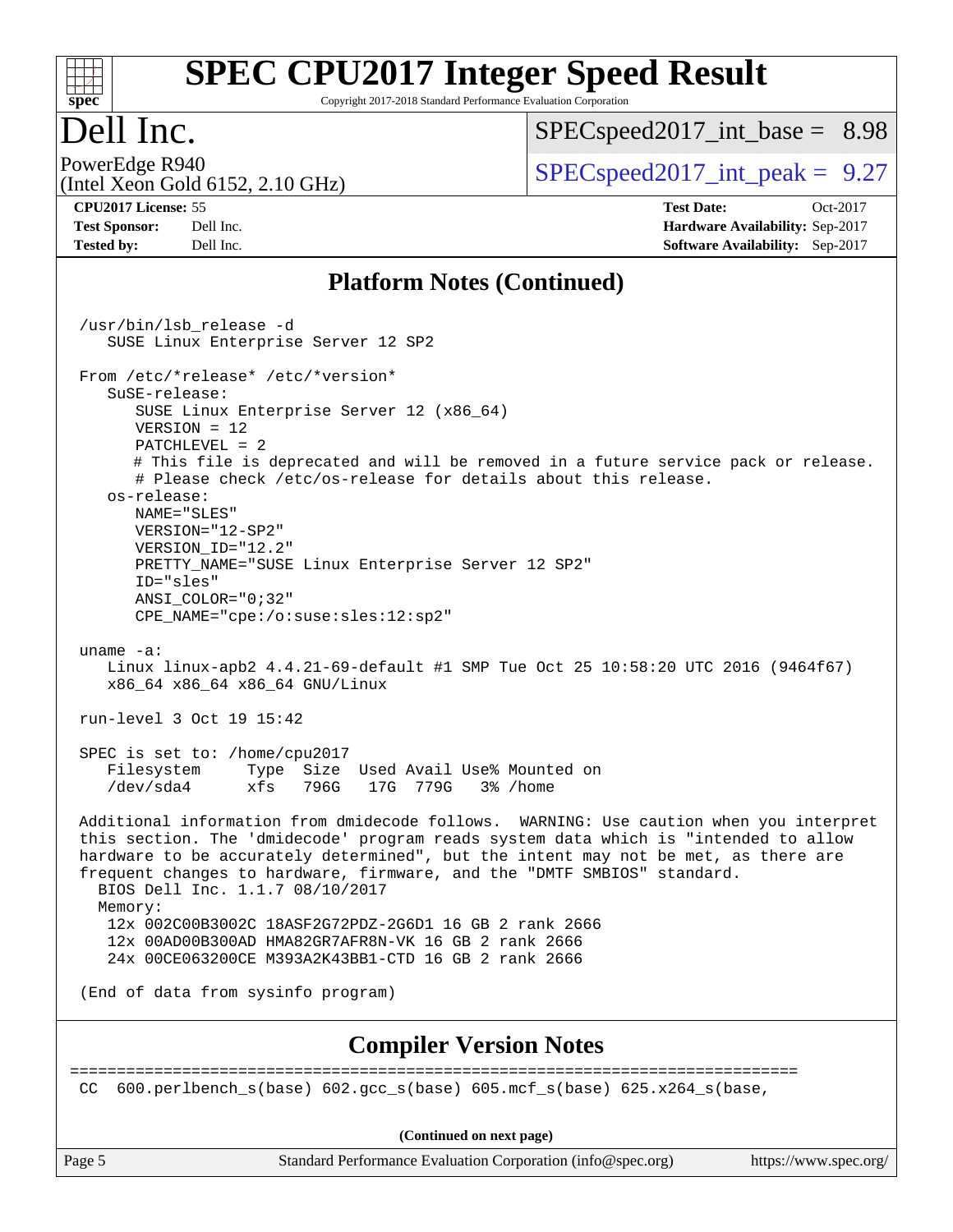#### $+\ +$ **[spec](http://www.spec.org/)**

# **[SPEC CPU2017 Integer Speed Result](http://www.spec.org/auto/cpu2017/Docs/result-fields.html#SPECCPU2017IntegerSpeedResult)**

Copyright 2017-2018 Standard Performance Evaluation Corporation

## Dell Inc.

 $SPECspeed2017\_int\_base = 8.98$ 

(Intel Xeon Gold 6152, 2.10 GHz)

PowerEdge R940<br>  $SPEC speed2017$  int\_peak = 9.27

**[CPU2017 License:](http://www.spec.org/auto/cpu2017/Docs/result-fields.html#CPU2017License)** 55 **[Test Date:](http://www.spec.org/auto/cpu2017/Docs/result-fields.html#TestDate)** Oct-2017 **[Test Sponsor:](http://www.spec.org/auto/cpu2017/Docs/result-fields.html#TestSponsor)** Dell Inc. **[Hardware Availability:](http://www.spec.org/auto/cpu2017/Docs/result-fields.html#HardwareAvailability)** Sep-2017 **[Tested by:](http://www.spec.org/auto/cpu2017/Docs/result-fields.html#Testedby)** Dell Inc. **[Software Availability:](http://www.spec.org/auto/cpu2017/Docs/result-fields.html#SoftwareAvailability)** Sep-2017

#### **[Platform Notes \(Continued\)](http://www.spec.org/auto/cpu2017/Docs/result-fields.html#PlatformNotes)**

Page 5 Standard Performance Evaluation Corporation [\(info@spec.org\)](mailto:info@spec.org) <https://www.spec.org/> /usr/bin/lsb\_release -d SUSE Linux Enterprise Server 12 SP2 From /etc/\*release\* /etc/\*version\* SuSE-release: SUSE Linux Enterprise Server 12 (x86\_64) VERSION = 12 PATCHLEVEL = 2 # This file is deprecated and will be removed in a future service pack or release. # Please check /etc/os-release for details about this release. os-release: NAME="SLES" VERSION="12-SP2" VERSION\_ID="12.2" PRETTY\_NAME="SUSE Linux Enterprise Server 12 SP2" ID="sles" ANSI\_COLOR="0;32" CPE\_NAME="cpe:/o:suse:sles:12:sp2" uname -a: Linux linux-apb2 4.4.21-69-default #1 SMP Tue Oct 25 10:58:20 UTC 2016 (9464f67) x86\_64 x86\_64 x86\_64 GNU/Linux run-level 3 Oct 19 15:42 SPEC is set to: /home/cpu2017 Filesystem Type Size Used Avail Use% Mounted on /dev/sda4 xfs 796G 17G 779G 3% /home Additional information from dmidecode follows. WARNING: Use caution when you interpret this section. The 'dmidecode' program reads system data which is "intended to allow hardware to be accurately determined", but the intent may not be met, as there are frequent changes to hardware, firmware, and the "DMTF SMBIOS" standard. BIOS Dell Inc. 1.1.7 08/10/2017 Memory: 12x 002C00B3002C 18ASF2G72PDZ-2G6D1 16 GB 2 rank 2666 12x 00AD00B300AD HMA82GR7AFR8N-VK 16 GB 2 rank 2666 24x 00CE063200CE M393A2K43BB1-CTD 16 GB 2 rank 2666 (End of data from sysinfo program) **[Compiler Version Notes](http://www.spec.org/auto/cpu2017/Docs/result-fields.html#CompilerVersionNotes)** ============================================================================== CC  $600.perlbench$  s(base)  $602.qcc$  s(base)  $605.mcf$  s(base)  $625.x264$  s(base, **(Continued on next page)**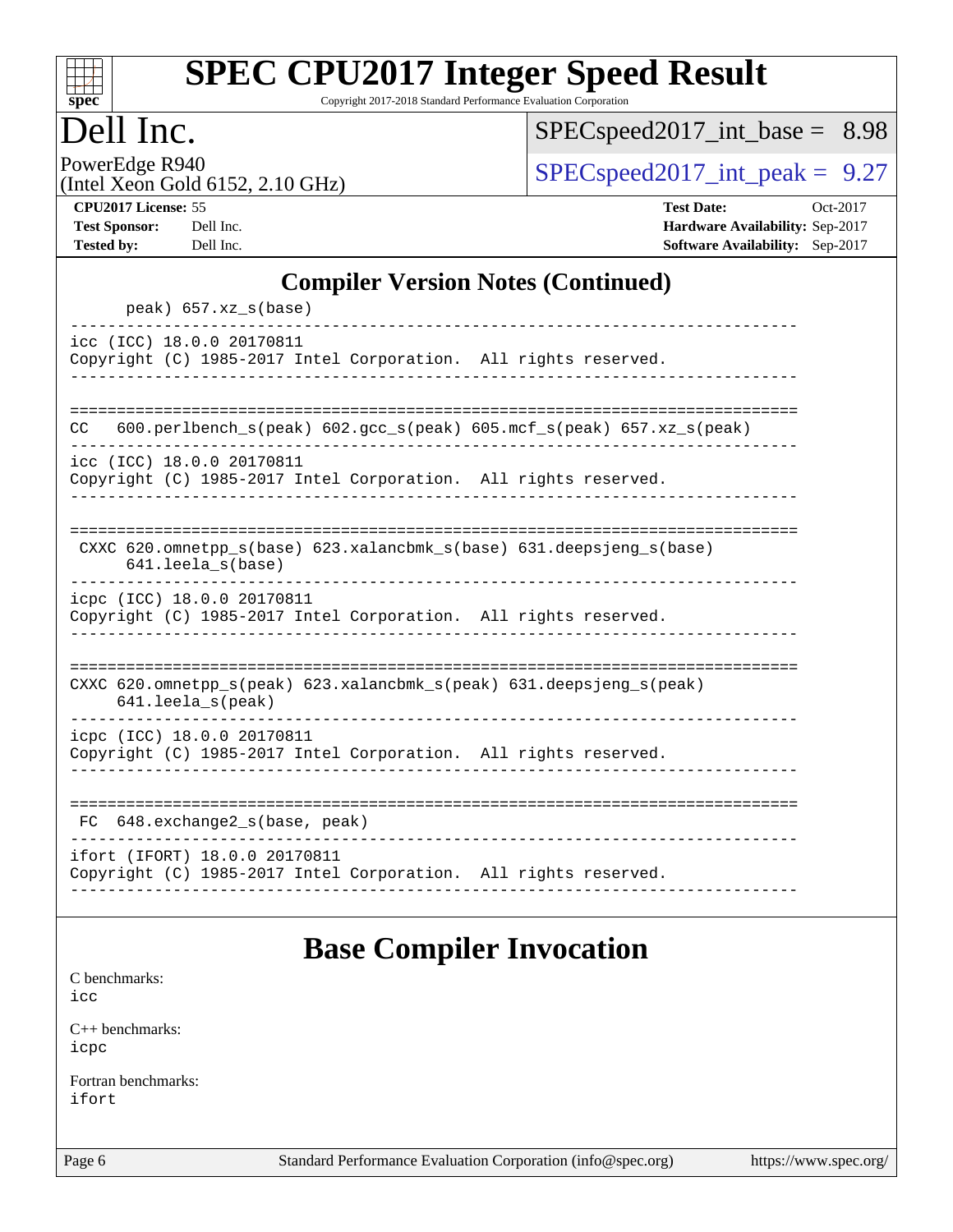

Copyright 2017-2018 Standard Performance Evaluation Corporation

## Dell Inc.

[SPECspeed2017\\_int\\_base =](http://www.spec.org/auto/cpu2017/Docs/result-fields.html#SPECspeed2017intbase) 8.98

PowerEdge R940<br>(Intel Xeon Gold 6152, 2.10 GHz)

 $SPEC speed2017\_int\_peak = 9.27$ 

| <b>CPU2017 License: 55</b> |  |
|----------------------------|--|

**[CPU2017 License:](http://www.spec.org/auto/cpu2017/Docs/result-fields.html#CPU2017License)** 55 **[Test Date:](http://www.spec.org/auto/cpu2017/Docs/result-fields.html#TestDate)** Oct-2017 **[Test Sponsor:](http://www.spec.org/auto/cpu2017/Docs/result-fields.html#TestSponsor)** Dell Inc. **[Hardware Availability:](http://www.spec.org/auto/cpu2017/Docs/result-fields.html#HardwareAvailability)** Sep-2017 **[Tested by:](http://www.spec.org/auto/cpu2017/Docs/result-fields.html#Testedby)** Dell Inc. **[Software Availability:](http://www.spec.org/auto/cpu2017/Docs/result-fields.html#SoftwareAvailability)** Sep-2017

#### **[Compiler Version Notes \(Continued\)](http://www.spec.org/auto/cpu2017/Docs/result-fields.html#CompilerVersionNotes)**

## **[Base Compiler Invocation](http://www.spec.org/auto/cpu2017/Docs/result-fields.html#BaseCompilerInvocation)**

[C benchmarks](http://www.spec.org/auto/cpu2017/Docs/result-fields.html#Cbenchmarks): [icc](http://www.spec.org/cpu2017/results/res2017q4/cpu2017-20171114-00614.flags.html#user_CCbase_intel_icc_18.0_66fc1ee009f7361af1fbd72ca7dcefbb700085f36577c54f309893dd4ec40d12360134090235512931783d35fd58c0460139e722d5067c5574d8eaf2b3e37e92)

[C++ benchmarks:](http://www.spec.org/auto/cpu2017/Docs/result-fields.html#CXXbenchmarks) [icpc](http://www.spec.org/cpu2017/results/res2017q4/cpu2017-20171114-00614.flags.html#user_CXXbase_intel_icpc_18.0_c510b6838c7f56d33e37e94d029a35b4a7bccf4766a728ee175e80a419847e808290a9b78be685c44ab727ea267ec2f070ec5dc83b407c0218cded6866a35d07)

[Fortran benchmarks](http://www.spec.org/auto/cpu2017/Docs/result-fields.html#Fortranbenchmarks): [ifort](http://www.spec.org/cpu2017/results/res2017q4/cpu2017-20171114-00614.flags.html#user_FCbase_intel_ifort_18.0_8111460550e3ca792625aed983ce982f94888b8b503583aa7ba2b8303487b4d8a21a13e7191a45c5fd58ff318f48f9492884d4413fa793fd88dd292cad7027ca)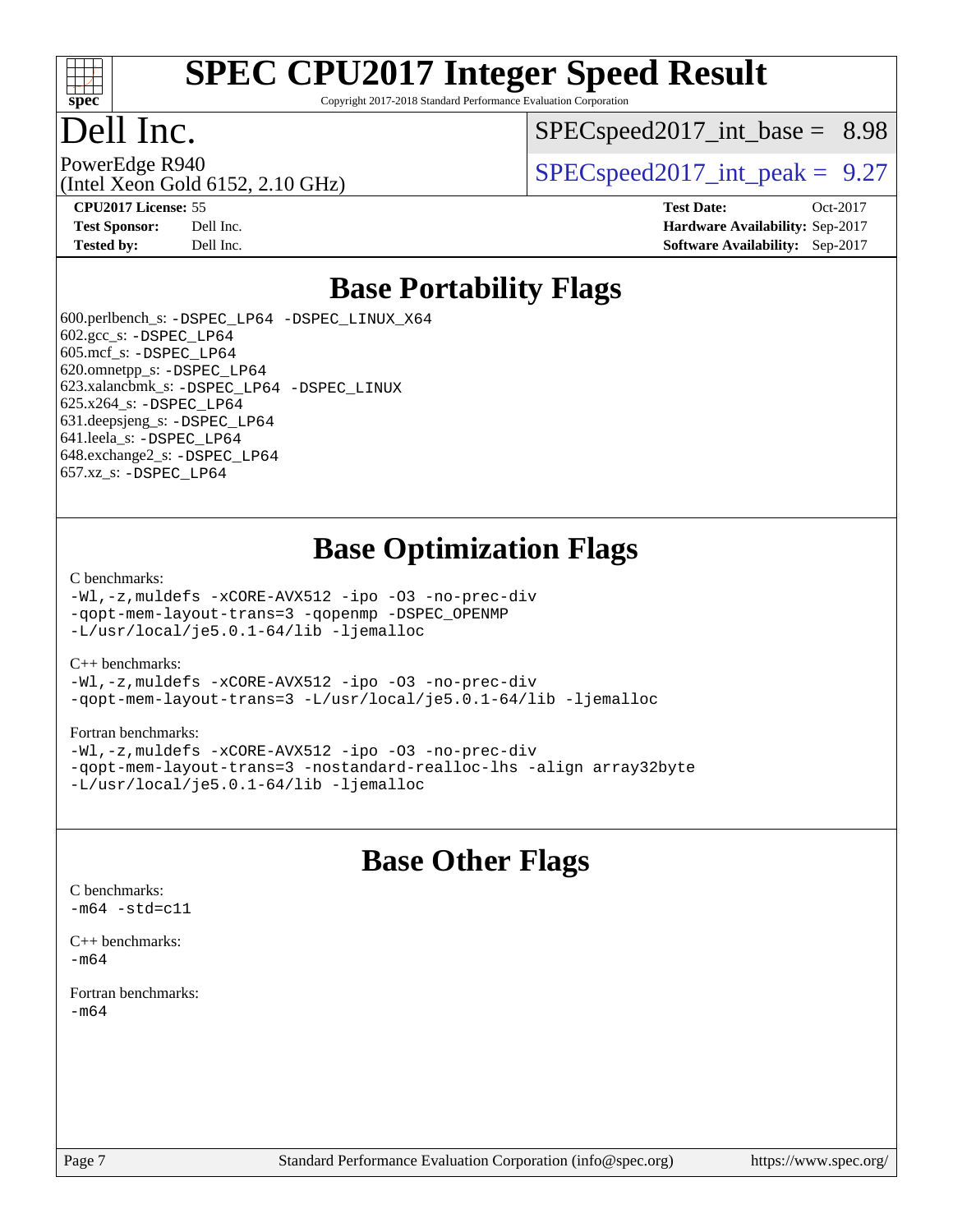

Copyright 2017-2018 Standard Performance Evaluation Corporation

### Dell Inc.

 $SPECspeed2017\_int\_base = 8.98$ 

(Intel Xeon Gold 6152, 2.10 GHz)

PowerEdge R940<br>  $SPEC speed2017$  int peak = 9.27

**[CPU2017 License:](http://www.spec.org/auto/cpu2017/Docs/result-fields.html#CPU2017License)** 55 **[Test Date:](http://www.spec.org/auto/cpu2017/Docs/result-fields.html#TestDate)** Oct-2017 **[Test Sponsor:](http://www.spec.org/auto/cpu2017/Docs/result-fields.html#TestSponsor)** Dell Inc. **[Hardware Availability:](http://www.spec.org/auto/cpu2017/Docs/result-fields.html#HardwareAvailability)** Sep-2017 **[Tested by:](http://www.spec.org/auto/cpu2017/Docs/result-fields.html#Testedby)** Dell Inc. **[Software Availability:](http://www.spec.org/auto/cpu2017/Docs/result-fields.html#SoftwareAvailability)** Sep-2017

#### **[Base Portability Flags](http://www.spec.org/auto/cpu2017/Docs/result-fields.html#BasePortabilityFlags)**

 600.perlbench\_s: [-DSPEC\\_LP64](http://www.spec.org/cpu2017/results/res2017q4/cpu2017-20171114-00614.flags.html#b600.perlbench_s_basePORTABILITY_DSPEC_LP64) [-DSPEC\\_LINUX\\_X64](http://www.spec.org/cpu2017/results/res2017q4/cpu2017-20171114-00614.flags.html#b600.perlbench_s_baseCPORTABILITY_DSPEC_LINUX_X64) 602.gcc\_s: [-DSPEC\\_LP64](http://www.spec.org/cpu2017/results/res2017q4/cpu2017-20171114-00614.flags.html#suite_basePORTABILITY602_gcc_s_DSPEC_LP64) 605.mcf\_s: [-DSPEC\\_LP64](http://www.spec.org/cpu2017/results/res2017q4/cpu2017-20171114-00614.flags.html#suite_basePORTABILITY605_mcf_s_DSPEC_LP64) 620.omnetpp\_s: [-DSPEC\\_LP64](http://www.spec.org/cpu2017/results/res2017q4/cpu2017-20171114-00614.flags.html#suite_basePORTABILITY620_omnetpp_s_DSPEC_LP64) 623.xalancbmk\_s: [-DSPEC\\_LP64](http://www.spec.org/cpu2017/results/res2017q4/cpu2017-20171114-00614.flags.html#suite_basePORTABILITY623_xalancbmk_s_DSPEC_LP64) [-DSPEC\\_LINUX](http://www.spec.org/cpu2017/results/res2017q4/cpu2017-20171114-00614.flags.html#b623.xalancbmk_s_baseCXXPORTABILITY_DSPEC_LINUX) 625.x264\_s: [-DSPEC\\_LP64](http://www.spec.org/cpu2017/results/res2017q4/cpu2017-20171114-00614.flags.html#suite_basePORTABILITY625_x264_s_DSPEC_LP64) 631.deepsjeng\_s: [-DSPEC\\_LP64](http://www.spec.org/cpu2017/results/res2017q4/cpu2017-20171114-00614.flags.html#suite_basePORTABILITY631_deepsjeng_s_DSPEC_LP64) 641.leela\_s: [-DSPEC\\_LP64](http://www.spec.org/cpu2017/results/res2017q4/cpu2017-20171114-00614.flags.html#suite_basePORTABILITY641_leela_s_DSPEC_LP64) 648.exchange2\_s: [-DSPEC\\_LP64](http://www.spec.org/cpu2017/results/res2017q4/cpu2017-20171114-00614.flags.html#suite_basePORTABILITY648_exchange2_s_DSPEC_LP64) 657.xz\_s: [-DSPEC\\_LP64](http://www.spec.org/cpu2017/results/res2017q4/cpu2017-20171114-00614.flags.html#suite_basePORTABILITY657_xz_s_DSPEC_LP64)

#### **[Base Optimization Flags](http://www.spec.org/auto/cpu2017/Docs/result-fields.html#BaseOptimizationFlags)**

#### [C benchmarks](http://www.spec.org/auto/cpu2017/Docs/result-fields.html#Cbenchmarks):

[-Wl,-z,muldefs](http://www.spec.org/cpu2017/results/res2017q4/cpu2017-20171114-00614.flags.html#user_CCbase_link_force_multiple1_b4cbdb97b34bdee9ceefcfe54f4c8ea74255f0b02a4b23e853cdb0e18eb4525ac79b5a88067c842dd0ee6996c24547a27a4b99331201badda8798ef8a743f577) [-xCORE-AVX512](http://www.spec.org/cpu2017/results/res2017q4/cpu2017-20171114-00614.flags.html#user_CCbase_f-xCORE-AVX512) [-ipo](http://www.spec.org/cpu2017/results/res2017q4/cpu2017-20171114-00614.flags.html#user_CCbase_f-ipo) [-O3](http://www.spec.org/cpu2017/results/res2017q4/cpu2017-20171114-00614.flags.html#user_CCbase_f-O3) [-no-prec-div](http://www.spec.org/cpu2017/results/res2017q4/cpu2017-20171114-00614.flags.html#user_CCbase_f-no-prec-div) [-qopt-mem-layout-trans=3](http://www.spec.org/cpu2017/results/res2017q4/cpu2017-20171114-00614.flags.html#user_CCbase_f-qopt-mem-layout-trans_de80db37974c74b1f0e20d883f0b675c88c3b01e9d123adea9b28688d64333345fb62bc4a798493513fdb68f60282f9a726aa07f478b2f7113531aecce732043) [-qopenmp](http://www.spec.org/cpu2017/results/res2017q4/cpu2017-20171114-00614.flags.html#user_CCbase_qopenmp_16be0c44f24f464004c6784a7acb94aca937f053568ce72f94b139a11c7c168634a55f6653758ddd83bcf7b8463e8028bb0b48b77bcddc6b78d5d95bb1df2967) [-DSPEC\\_OPENMP](http://www.spec.org/cpu2017/results/res2017q4/cpu2017-20171114-00614.flags.html#suite_CCbase_DSPEC_OPENMP) [-L/usr/local/je5.0.1-64/lib](http://www.spec.org/cpu2017/results/res2017q4/cpu2017-20171114-00614.flags.html#user_CCbase_jemalloc_link_path64_4b10a636b7bce113509b17f3bd0d6226c5fb2346b9178c2d0232c14f04ab830f976640479e5c33dc2bcbbdad86ecfb6634cbbd4418746f06f368b512fced5394) [-ljemalloc](http://www.spec.org/cpu2017/results/res2017q4/cpu2017-20171114-00614.flags.html#user_CCbase_jemalloc_link_lib_d1249b907c500fa1c0672f44f562e3d0f79738ae9e3c4a9c376d49f265a04b9c99b167ecedbf6711b3085be911c67ff61f150a17b3472be731631ba4d0471706)

#### [C++ benchmarks:](http://www.spec.org/auto/cpu2017/Docs/result-fields.html#CXXbenchmarks)

[-Wl,-z,muldefs](http://www.spec.org/cpu2017/results/res2017q4/cpu2017-20171114-00614.flags.html#user_CXXbase_link_force_multiple1_b4cbdb97b34bdee9ceefcfe54f4c8ea74255f0b02a4b23e853cdb0e18eb4525ac79b5a88067c842dd0ee6996c24547a27a4b99331201badda8798ef8a743f577) [-xCORE-AVX512](http://www.spec.org/cpu2017/results/res2017q4/cpu2017-20171114-00614.flags.html#user_CXXbase_f-xCORE-AVX512) [-ipo](http://www.spec.org/cpu2017/results/res2017q4/cpu2017-20171114-00614.flags.html#user_CXXbase_f-ipo) [-O3](http://www.spec.org/cpu2017/results/res2017q4/cpu2017-20171114-00614.flags.html#user_CXXbase_f-O3) [-no-prec-div](http://www.spec.org/cpu2017/results/res2017q4/cpu2017-20171114-00614.flags.html#user_CXXbase_f-no-prec-div) [-qopt-mem-layout-trans=3](http://www.spec.org/cpu2017/results/res2017q4/cpu2017-20171114-00614.flags.html#user_CXXbase_f-qopt-mem-layout-trans_de80db37974c74b1f0e20d883f0b675c88c3b01e9d123adea9b28688d64333345fb62bc4a798493513fdb68f60282f9a726aa07f478b2f7113531aecce732043) [-L/usr/local/je5.0.1-64/lib](http://www.spec.org/cpu2017/results/res2017q4/cpu2017-20171114-00614.flags.html#user_CXXbase_jemalloc_link_path64_4b10a636b7bce113509b17f3bd0d6226c5fb2346b9178c2d0232c14f04ab830f976640479e5c33dc2bcbbdad86ecfb6634cbbd4418746f06f368b512fced5394) [-ljemalloc](http://www.spec.org/cpu2017/results/res2017q4/cpu2017-20171114-00614.flags.html#user_CXXbase_jemalloc_link_lib_d1249b907c500fa1c0672f44f562e3d0f79738ae9e3c4a9c376d49f265a04b9c99b167ecedbf6711b3085be911c67ff61f150a17b3472be731631ba4d0471706)

#### [Fortran benchmarks](http://www.spec.org/auto/cpu2017/Docs/result-fields.html#Fortranbenchmarks):

[-Wl,-z,muldefs](http://www.spec.org/cpu2017/results/res2017q4/cpu2017-20171114-00614.flags.html#user_FCbase_link_force_multiple1_b4cbdb97b34bdee9ceefcfe54f4c8ea74255f0b02a4b23e853cdb0e18eb4525ac79b5a88067c842dd0ee6996c24547a27a4b99331201badda8798ef8a743f577) [-xCORE-AVX512](http://www.spec.org/cpu2017/results/res2017q4/cpu2017-20171114-00614.flags.html#user_FCbase_f-xCORE-AVX512) [-ipo](http://www.spec.org/cpu2017/results/res2017q4/cpu2017-20171114-00614.flags.html#user_FCbase_f-ipo) [-O3](http://www.spec.org/cpu2017/results/res2017q4/cpu2017-20171114-00614.flags.html#user_FCbase_f-O3) [-no-prec-div](http://www.spec.org/cpu2017/results/res2017q4/cpu2017-20171114-00614.flags.html#user_FCbase_f-no-prec-div) [-qopt-mem-layout-trans=3](http://www.spec.org/cpu2017/results/res2017q4/cpu2017-20171114-00614.flags.html#user_FCbase_f-qopt-mem-layout-trans_de80db37974c74b1f0e20d883f0b675c88c3b01e9d123adea9b28688d64333345fb62bc4a798493513fdb68f60282f9a726aa07f478b2f7113531aecce732043) [-nostandard-realloc-lhs](http://www.spec.org/cpu2017/results/res2017q4/cpu2017-20171114-00614.flags.html#user_FCbase_f_2003_std_realloc_82b4557e90729c0f113870c07e44d33d6f5a304b4f63d4c15d2d0f1fab99f5daaed73bdb9275d9ae411527f28b936061aa8b9c8f2d63842963b95c9dd6426b8a) [-align array32byte](http://www.spec.org/cpu2017/results/res2017q4/cpu2017-20171114-00614.flags.html#user_FCbase_align_array32byte_b982fe038af199962ba9a80c053b8342c548c85b40b8e86eb3cc33dee0d7986a4af373ac2d51c3f7cf710a18d62fdce2948f201cd044323541f22fc0fffc51b6) [-L/usr/local/je5.0.1-64/lib](http://www.spec.org/cpu2017/results/res2017q4/cpu2017-20171114-00614.flags.html#user_FCbase_jemalloc_link_path64_4b10a636b7bce113509b17f3bd0d6226c5fb2346b9178c2d0232c14f04ab830f976640479e5c33dc2bcbbdad86ecfb6634cbbd4418746f06f368b512fced5394) [-ljemalloc](http://www.spec.org/cpu2017/results/res2017q4/cpu2017-20171114-00614.flags.html#user_FCbase_jemalloc_link_lib_d1249b907c500fa1c0672f44f562e3d0f79738ae9e3c4a9c376d49f265a04b9c99b167ecedbf6711b3085be911c67ff61f150a17b3472be731631ba4d0471706)

#### **[Base Other Flags](http://www.spec.org/auto/cpu2017/Docs/result-fields.html#BaseOtherFlags)**

 $-m64 - std= c11$  $-m64 - std= c11$ [C++ benchmarks:](http://www.spec.org/auto/cpu2017/Docs/result-fields.html#CXXbenchmarks)

[C benchmarks](http://www.spec.org/auto/cpu2017/Docs/result-fields.html#Cbenchmarks):

[-m64](http://www.spec.org/cpu2017/results/res2017q4/cpu2017-20171114-00614.flags.html#user_CXXbase_intel_intel64_18.0_af43caccfc8ded86e7699f2159af6efc7655f51387b94da716254467f3c01020a5059329e2569e4053f409e7c9202a7efc638f7a6d1ffb3f52dea4a3e31d82ab)

[Fortran benchmarks](http://www.spec.org/auto/cpu2017/Docs/result-fields.html#Fortranbenchmarks): [-m64](http://www.spec.org/cpu2017/results/res2017q4/cpu2017-20171114-00614.flags.html#user_FCbase_intel_intel64_18.0_af43caccfc8ded86e7699f2159af6efc7655f51387b94da716254467f3c01020a5059329e2569e4053f409e7c9202a7efc638f7a6d1ffb3f52dea4a3e31d82ab)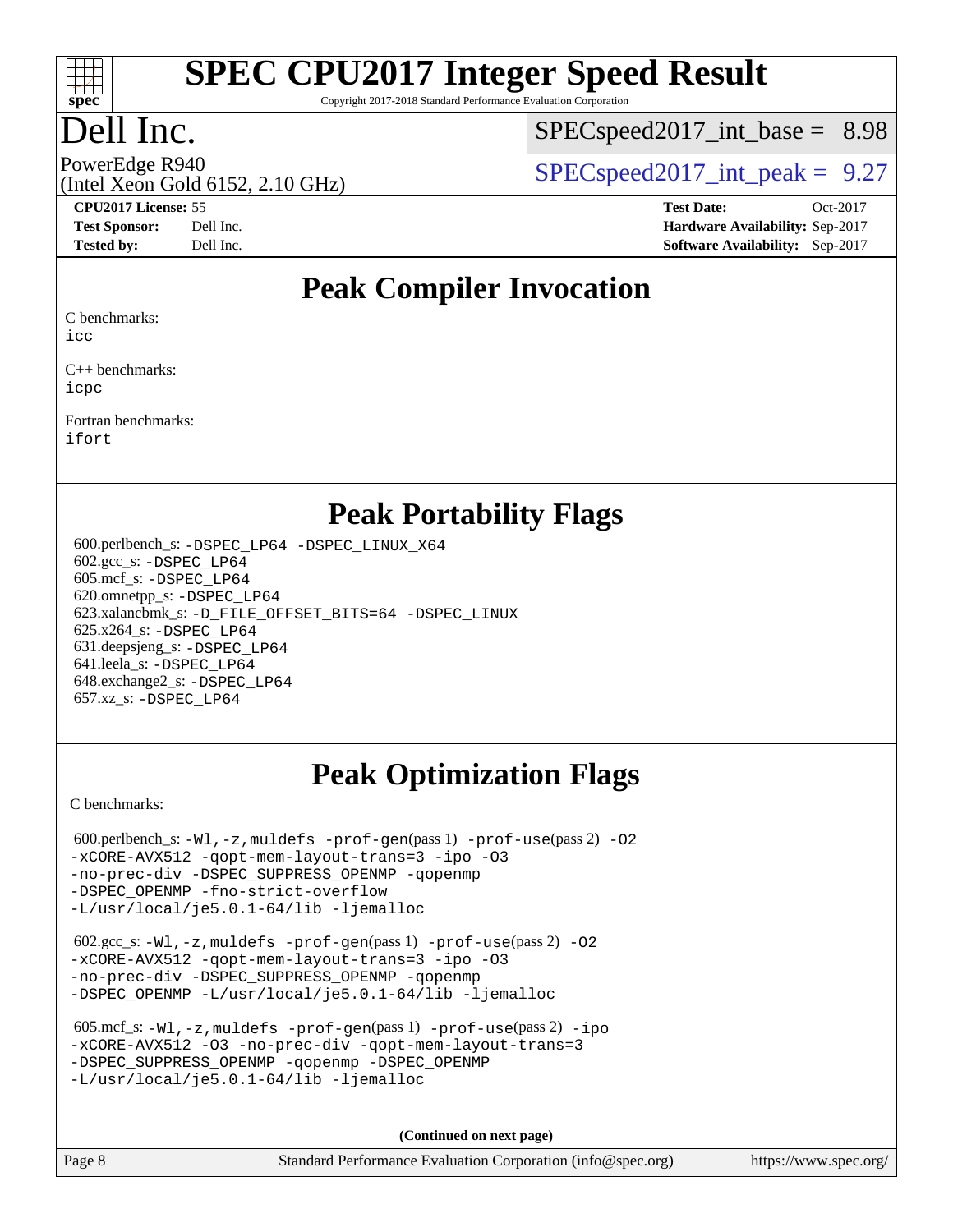

Copyright 2017-2018 Standard Performance Evaluation Corporation

## Dell Inc.

 $SPECspeed2017\_int\_base = 8.98$ 

### (Intel Xeon Gold 6152, 2.10 GHz)

PowerEdge R940<br>  $SPEC speed2017$  int\_peak = 9.27

**[CPU2017 License:](http://www.spec.org/auto/cpu2017/Docs/result-fields.html#CPU2017License)** 55 **[Test Date:](http://www.spec.org/auto/cpu2017/Docs/result-fields.html#TestDate)** Oct-2017 **[Test Sponsor:](http://www.spec.org/auto/cpu2017/Docs/result-fields.html#TestSponsor)** Dell Inc. **[Hardware Availability:](http://www.spec.org/auto/cpu2017/Docs/result-fields.html#HardwareAvailability)** Sep-2017 **[Tested by:](http://www.spec.org/auto/cpu2017/Docs/result-fields.html#Testedby)** Dell Inc. **[Software Availability:](http://www.spec.org/auto/cpu2017/Docs/result-fields.html#SoftwareAvailability)** Sep-2017

#### **[Peak Compiler Invocation](http://www.spec.org/auto/cpu2017/Docs/result-fields.html#PeakCompilerInvocation)**

[C benchmarks](http://www.spec.org/auto/cpu2017/Docs/result-fields.html#Cbenchmarks):

[icc](http://www.spec.org/cpu2017/results/res2017q4/cpu2017-20171114-00614.flags.html#user_CCpeak_intel_icc_18.0_66fc1ee009f7361af1fbd72ca7dcefbb700085f36577c54f309893dd4ec40d12360134090235512931783d35fd58c0460139e722d5067c5574d8eaf2b3e37e92)

[C++ benchmarks:](http://www.spec.org/auto/cpu2017/Docs/result-fields.html#CXXbenchmarks) [icpc](http://www.spec.org/cpu2017/results/res2017q4/cpu2017-20171114-00614.flags.html#user_CXXpeak_intel_icpc_18.0_c510b6838c7f56d33e37e94d029a35b4a7bccf4766a728ee175e80a419847e808290a9b78be685c44ab727ea267ec2f070ec5dc83b407c0218cded6866a35d07)

[Fortran benchmarks](http://www.spec.org/auto/cpu2017/Docs/result-fields.html#Fortranbenchmarks): [ifort](http://www.spec.org/cpu2017/results/res2017q4/cpu2017-20171114-00614.flags.html#user_FCpeak_intel_ifort_18.0_8111460550e3ca792625aed983ce982f94888b8b503583aa7ba2b8303487b4d8a21a13e7191a45c5fd58ff318f48f9492884d4413fa793fd88dd292cad7027ca)

#### **[Peak Portability Flags](http://www.spec.org/auto/cpu2017/Docs/result-fields.html#PeakPortabilityFlags)**

 600.perlbench\_s: [-DSPEC\\_LP64](http://www.spec.org/cpu2017/results/res2017q4/cpu2017-20171114-00614.flags.html#b600.perlbench_s_peakPORTABILITY_DSPEC_LP64) [-DSPEC\\_LINUX\\_X64](http://www.spec.org/cpu2017/results/res2017q4/cpu2017-20171114-00614.flags.html#b600.perlbench_s_peakCPORTABILITY_DSPEC_LINUX_X64) 602.gcc\_s: [-DSPEC\\_LP64](http://www.spec.org/cpu2017/results/res2017q4/cpu2017-20171114-00614.flags.html#suite_peakPORTABILITY602_gcc_s_DSPEC_LP64) 605.mcf\_s: [-DSPEC\\_LP64](http://www.spec.org/cpu2017/results/res2017q4/cpu2017-20171114-00614.flags.html#suite_peakPORTABILITY605_mcf_s_DSPEC_LP64) 620.omnetpp\_s: [-DSPEC\\_LP64](http://www.spec.org/cpu2017/results/res2017q4/cpu2017-20171114-00614.flags.html#suite_peakPORTABILITY620_omnetpp_s_DSPEC_LP64) 623.xalancbmk\_s: [-D\\_FILE\\_OFFSET\\_BITS=64](http://www.spec.org/cpu2017/results/res2017q4/cpu2017-20171114-00614.flags.html#user_peakPORTABILITY623_xalancbmk_s_file_offset_bits_64_5ae949a99b284ddf4e95728d47cb0843d81b2eb0e18bdfe74bbf0f61d0b064f4bda2f10ea5eb90e1dcab0e84dbc592acfc5018bc955c18609f94ddb8d550002c) [-DSPEC\\_LINUX](http://www.spec.org/cpu2017/results/res2017q4/cpu2017-20171114-00614.flags.html#b623.xalancbmk_s_peakCXXPORTABILITY_DSPEC_LINUX) 625.x264\_s: [-DSPEC\\_LP64](http://www.spec.org/cpu2017/results/res2017q4/cpu2017-20171114-00614.flags.html#suite_peakPORTABILITY625_x264_s_DSPEC_LP64) 631.deepsjeng\_s: [-DSPEC\\_LP64](http://www.spec.org/cpu2017/results/res2017q4/cpu2017-20171114-00614.flags.html#suite_peakPORTABILITY631_deepsjeng_s_DSPEC_LP64) 641.leela\_s: [-DSPEC\\_LP64](http://www.spec.org/cpu2017/results/res2017q4/cpu2017-20171114-00614.flags.html#suite_peakPORTABILITY641_leela_s_DSPEC_LP64) 648.exchange2\_s: [-DSPEC\\_LP64](http://www.spec.org/cpu2017/results/res2017q4/cpu2017-20171114-00614.flags.html#suite_peakPORTABILITY648_exchange2_s_DSPEC_LP64) 657.xz\_s: [-DSPEC\\_LP64](http://www.spec.org/cpu2017/results/res2017q4/cpu2017-20171114-00614.flags.html#suite_peakPORTABILITY657_xz_s_DSPEC_LP64)

## **[Peak Optimization Flags](http://www.spec.org/auto/cpu2017/Docs/result-fields.html#PeakOptimizationFlags)**

[C benchmarks](http://www.spec.org/auto/cpu2017/Docs/result-fields.html#Cbenchmarks):

600.perlbench\_s:  $-W1$ , -z, muldefs [-prof-gen](http://www.spec.org/cpu2017/results/res2017q4/cpu2017-20171114-00614.flags.html#user_peakPASS1_CFLAGSPASS1_LDFLAGS600_perlbench_s_prof_gen_5aa4926d6013ddb2a31985c654b3eb18169fc0c6952a63635c234f711e6e63dd76e94ad52365559451ec499a2cdb89e4dc58ba4c67ef54ca681ffbe1461d6b36)(pass 1) [-prof-use](http://www.spec.org/cpu2017/results/res2017q4/cpu2017-20171114-00614.flags.html#user_peakPASS2_CFLAGSPASS2_LDFLAGS600_perlbench_s_prof_use_1a21ceae95f36a2b53c25747139a6c16ca95bd9def2a207b4f0849963b97e94f5260e30a0c64f4bb623698870e679ca08317ef8150905d41bd88c6f78df73f19)(pass 2) -02 [-xCORE-AVX512](http://www.spec.org/cpu2017/results/res2017q4/cpu2017-20171114-00614.flags.html#user_peakPASS2_COPTIMIZE600_perlbench_s_f-xCORE-AVX512) [-qopt-mem-layout-trans=3](http://www.spec.org/cpu2017/results/res2017q4/cpu2017-20171114-00614.flags.html#user_peakPASS1_COPTIMIZEPASS2_COPTIMIZE600_perlbench_s_f-qopt-mem-layout-trans_de80db37974c74b1f0e20d883f0b675c88c3b01e9d123adea9b28688d64333345fb62bc4a798493513fdb68f60282f9a726aa07f478b2f7113531aecce732043) [-ipo](http://www.spec.org/cpu2017/results/res2017q4/cpu2017-20171114-00614.flags.html#user_peakPASS2_COPTIMIZE600_perlbench_s_f-ipo) [-O3](http://www.spec.org/cpu2017/results/res2017q4/cpu2017-20171114-00614.flags.html#user_peakPASS2_COPTIMIZE600_perlbench_s_f-O3) [-no-prec-div](http://www.spec.org/cpu2017/results/res2017q4/cpu2017-20171114-00614.flags.html#user_peakPASS2_COPTIMIZE600_perlbench_s_f-no-prec-div) [-DSPEC\\_SUPPRESS\\_OPENMP](http://www.spec.org/cpu2017/results/res2017q4/cpu2017-20171114-00614.flags.html#suite_peakPASS1_COPTIMIZE600_perlbench_s_DSPEC_SUPPRESS_OPENMP) [-qopenmp](http://www.spec.org/cpu2017/results/res2017q4/cpu2017-20171114-00614.flags.html#user_peakPASS2_COPTIMIZE600_perlbench_s_qopenmp_16be0c44f24f464004c6784a7acb94aca937f053568ce72f94b139a11c7c168634a55f6653758ddd83bcf7b8463e8028bb0b48b77bcddc6b78d5d95bb1df2967) [-DSPEC\\_OPENMP](http://www.spec.org/cpu2017/results/res2017q4/cpu2017-20171114-00614.flags.html#suite_peakPASS2_COPTIMIZE600_perlbench_s_DSPEC_OPENMP) [-fno-strict-overflow](http://www.spec.org/cpu2017/results/res2017q4/cpu2017-20171114-00614.flags.html#user_peakEXTRA_OPTIMIZE600_perlbench_s_f-fno-strict-overflow) [-L/usr/local/je5.0.1-64/lib](http://www.spec.org/cpu2017/results/res2017q4/cpu2017-20171114-00614.flags.html#user_peakEXTRA_LIBS600_perlbench_s_jemalloc_link_path64_4b10a636b7bce113509b17f3bd0d6226c5fb2346b9178c2d0232c14f04ab830f976640479e5c33dc2bcbbdad86ecfb6634cbbd4418746f06f368b512fced5394) [-ljemalloc](http://www.spec.org/cpu2017/results/res2017q4/cpu2017-20171114-00614.flags.html#user_peakEXTRA_LIBS600_perlbench_s_jemalloc_link_lib_d1249b907c500fa1c0672f44f562e3d0f79738ae9e3c4a9c376d49f265a04b9c99b167ecedbf6711b3085be911c67ff61f150a17b3472be731631ba4d0471706)

 602.gcc\_s: [-Wl,-z,muldefs](http://www.spec.org/cpu2017/results/res2017q4/cpu2017-20171114-00614.flags.html#user_peakEXTRA_LDFLAGS602_gcc_s_link_force_multiple1_b4cbdb97b34bdee9ceefcfe54f4c8ea74255f0b02a4b23e853cdb0e18eb4525ac79b5a88067c842dd0ee6996c24547a27a4b99331201badda8798ef8a743f577) [-prof-gen](http://www.spec.org/cpu2017/results/res2017q4/cpu2017-20171114-00614.flags.html#user_peakPASS1_CFLAGSPASS1_LDFLAGS602_gcc_s_prof_gen_5aa4926d6013ddb2a31985c654b3eb18169fc0c6952a63635c234f711e6e63dd76e94ad52365559451ec499a2cdb89e4dc58ba4c67ef54ca681ffbe1461d6b36)(pass 1) [-prof-use](http://www.spec.org/cpu2017/results/res2017q4/cpu2017-20171114-00614.flags.html#user_peakPASS2_CFLAGSPASS2_LDFLAGS602_gcc_s_prof_use_1a21ceae95f36a2b53c25747139a6c16ca95bd9def2a207b4f0849963b97e94f5260e30a0c64f4bb623698870e679ca08317ef8150905d41bd88c6f78df73f19)(pass 2) [-O2](http://www.spec.org/cpu2017/results/res2017q4/cpu2017-20171114-00614.flags.html#user_peakPASS1_COPTIMIZE602_gcc_s_f-O2) [-xCORE-AVX512](http://www.spec.org/cpu2017/results/res2017q4/cpu2017-20171114-00614.flags.html#user_peakPASS2_COPTIMIZE602_gcc_s_f-xCORE-AVX512) [-qopt-mem-layout-trans=3](http://www.spec.org/cpu2017/results/res2017q4/cpu2017-20171114-00614.flags.html#user_peakPASS1_COPTIMIZEPASS2_COPTIMIZE602_gcc_s_f-qopt-mem-layout-trans_de80db37974c74b1f0e20d883f0b675c88c3b01e9d123adea9b28688d64333345fb62bc4a798493513fdb68f60282f9a726aa07f478b2f7113531aecce732043) [-ipo](http://www.spec.org/cpu2017/results/res2017q4/cpu2017-20171114-00614.flags.html#user_peakPASS2_COPTIMIZE602_gcc_s_f-ipo) [-O3](http://www.spec.org/cpu2017/results/res2017q4/cpu2017-20171114-00614.flags.html#user_peakPASS2_COPTIMIZE602_gcc_s_f-O3) [-no-prec-div](http://www.spec.org/cpu2017/results/res2017q4/cpu2017-20171114-00614.flags.html#user_peakPASS2_COPTIMIZE602_gcc_s_f-no-prec-div) [-DSPEC\\_SUPPRESS\\_OPENMP](http://www.spec.org/cpu2017/results/res2017q4/cpu2017-20171114-00614.flags.html#suite_peakPASS1_COPTIMIZE602_gcc_s_DSPEC_SUPPRESS_OPENMP) [-qopenmp](http://www.spec.org/cpu2017/results/res2017q4/cpu2017-20171114-00614.flags.html#user_peakPASS2_COPTIMIZE602_gcc_s_qopenmp_16be0c44f24f464004c6784a7acb94aca937f053568ce72f94b139a11c7c168634a55f6653758ddd83bcf7b8463e8028bb0b48b77bcddc6b78d5d95bb1df2967) [-DSPEC\\_OPENMP](http://www.spec.org/cpu2017/results/res2017q4/cpu2017-20171114-00614.flags.html#suite_peakPASS2_COPTIMIZE602_gcc_s_DSPEC_OPENMP) [-L/usr/local/je5.0.1-64/lib](http://www.spec.org/cpu2017/results/res2017q4/cpu2017-20171114-00614.flags.html#user_peakEXTRA_LIBS602_gcc_s_jemalloc_link_path64_4b10a636b7bce113509b17f3bd0d6226c5fb2346b9178c2d0232c14f04ab830f976640479e5c33dc2bcbbdad86ecfb6634cbbd4418746f06f368b512fced5394) [-ljemalloc](http://www.spec.org/cpu2017/results/res2017q4/cpu2017-20171114-00614.flags.html#user_peakEXTRA_LIBS602_gcc_s_jemalloc_link_lib_d1249b907c500fa1c0672f44f562e3d0f79738ae9e3c4a9c376d49f265a04b9c99b167ecedbf6711b3085be911c67ff61f150a17b3472be731631ba4d0471706)

| 605.mcf s: $-Wl$ , $-z$ , muldefs $-prof-qen(pass 1)$ $-prof-use(pass 2) -ipo$ |
|--------------------------------------------------------------------------------|
| -xCORE-AVX512 -03 -no-prec-div -gopt-mem-layout-trans=3                        |
| -DSPEC SUPPRESS OPENMP - gopenmp - DSPEC OPENMP                                |
| $-L/usr/local/ie5.0.1-64/lib -liemalloc$                                       |

**(Continued on next page)**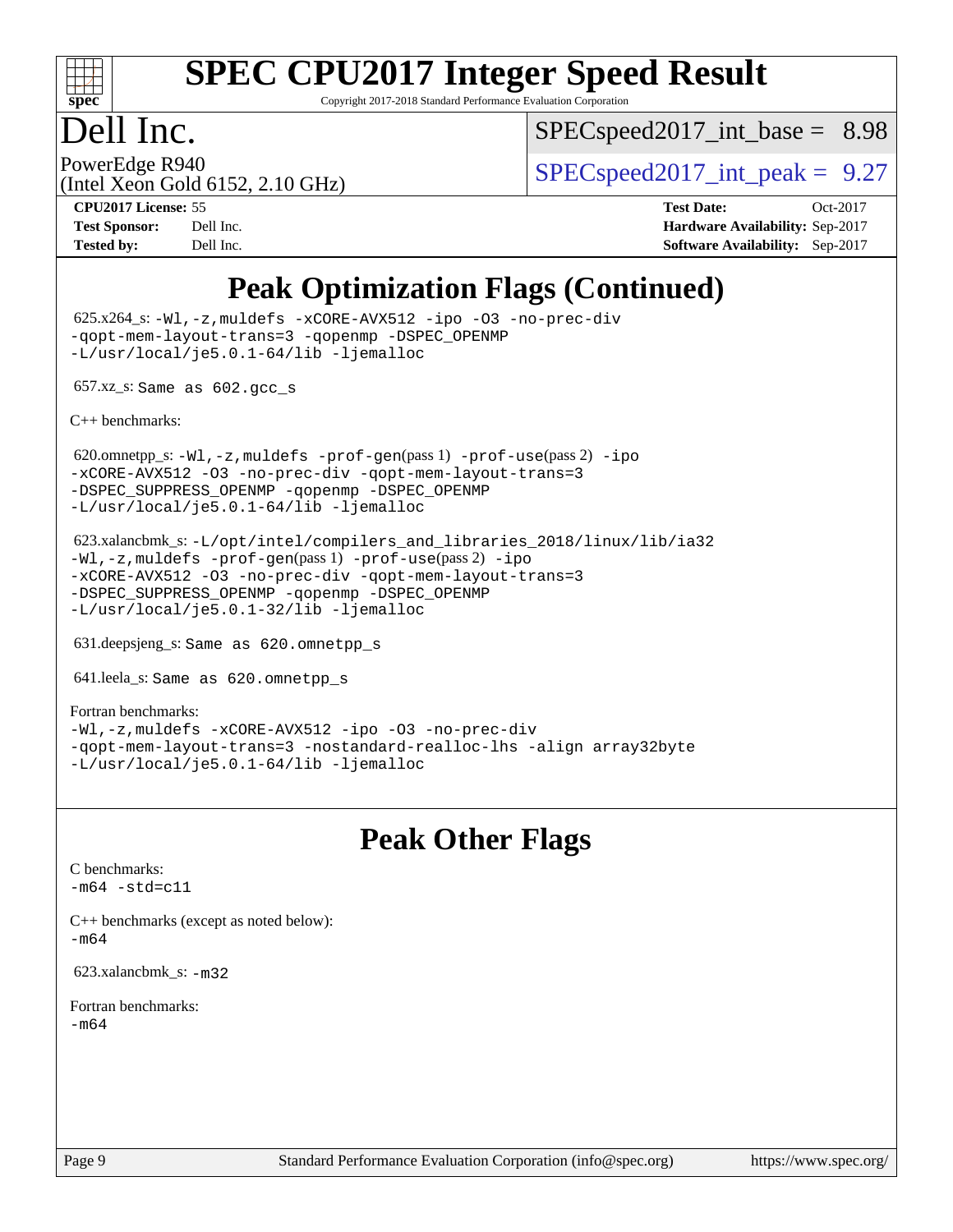

Copyright 2017-2018 Standard Performance Evaluation Corporation

## Dell Inc.

 $SPEC speed2017\_int\_base = 8.98$ 

(Intel Xeon Gold 6152, 2.10 GHz)

PowerEdge R940<br>  $SPEC speed2017$  int\_peak = 9.27

**[CPU2017 License:](http://www.spec.org/auto/cpu2017/Docs/result-fields.html#CPU2017License)** 55 **[Test Date:](http://www.spec.org/auto/cpu2017/Docs/result-fields.html#TestDate)** Oct-2017 **[Test Sponsor:](http://www.spec.org/auto/cpu2017/Docs/result-fields.html#TestSponsor)** Dell Inc. **[Hardware Availability:](http://www.spec.org/auto/cpu2017/Docs/result-fields.html#HardwareAvailability)** Sep-2017 **[Tested by:](http://www.spec.org/auto/cpu2017/Docs/result-fields.html#Testedby)** Dell Inc. **[Software Availability:](http://www.spec.org/auto/cpu2017/Docs/result-fields.html#SoftwareAvailability)** Sep-2017

## **[Peak Optimization Flags \(Continued\)](http://www.spec.org/auto/cpu2017/Docs/result-fields.html#PeakOptimizationFlags)**

 625.x264\_s: [-Wl,-z,muldefs](http://www.spec.org/cpu2017/results/res2017q4/cpu2017-20171114-00614.flags.html#user_peakEXTRA_LDFLAGS625_x264_s_link_force_multiple1_b4cbdb97b34bdee9ceefcfe54f4c8ea74255f0b02a4b23e853cdb0e18eb4525ac79b5a88067c842dd0ee6996c24547a27a4b99331201badda8798ef8a743f577) [-xCORE-AVX512](http://www.spec.org/cpu2017/results/res2017q4/cpu2017-20171114-00614.flags.html#user_peakCOPTIMIZE625_x264_s_f-xCORE-AVX512) [-ipo](http://www.spec.org/cpu2017/results/res2017q4/cpu2017-20171114-00614.flags.html#user_peakCOPTIMIZE625_x264_s_f-ipo) [-O3](http://www.spec.org/cpu2017/results/res2017q4/cpu2017-20171114-00614.flags.html#user_peakCOPTIMIZE625_x264_s_f-O3) [-no-prec-div](http://www.spec.org/cpu2017/results/res2017q4/cpu2017-20171114-00614.flags.html#user_peakCOPTIMIZE625_x264_s_f-no-prec-div) [-qopt-mem-layout-trans=3](http://www.spec.org/cpu2017/results/res2017q4/cpu2017-20171114-00614.flags.html#user_peakCOPTIMIZE625_x264_s_f-qopt-mem-layout-trans_de80db37974c74b1f0e20d883f0b675c88c3b01e9d123adea9b28688d64333345fb62bc4a798493513fdb68f60282f9a726aa07f478b2f7113531aecce732043) [-qopenmp](http://www.spec.org/cpu2017/results/res2017q4/cpu2017-20171114-00614.flags.html#user_peakCOPTIMIZE625_x264_s_qopenmp_16be0c44f24f464004c6784a7acb94aca937f053568ce72f94b139a11c7c168634a55f6653758ddd83bcf7b8463e8028bb0b48b77bcddc6b78d5d95bb1df2967) [-DSPEC\\_OPENMP](http://www.spec.org/cpu2017/results/res2017q4/cpu2017-20171114-00614.flags.html#suite_peakCOPTIMIZE625_x264_s_DSPEC_OPENMP) [-L/usr/local/je5.0.1-64/lib](http://www.spec.org/cpu2017/results/res2017q4/cpu2017-20171114-00614.flags.html#user_peakEXTRA_LIBS625_x264_s_jemalloc_link_path64_4b10a636b7bce113509b17f3bd0d6226c5fb2346b9178c2d0232c14f04ab830f976640479e5c33dc2bcbbdad86ecfb6634cbbd4418746f06f368b512fced5394) [-ljemalloc](http://www.spec.org/cpu2017/results/res2017q4/cpu2017-20171114-00614.flags.html#user_peakEXTRA_LIBS625_x264_s_jemalloc_link_lib_d1249b907c500fa1c0672f44f562e3d0f79738ae9e3c4a9c376d49f265a04b9c99b167ecedbf6711b3085be911c67ff61f150a17b3472be731631ba4d0471706)

657.xz\_s: Same as 602.gcc\_s

[C++ benchmarks:](http://www.spec.org/auto/cpu2017/Docs/result-fields.html#CXXbenchmarks)

620.omnetpp\_s: $-W1$ ,-z,muldefs -prof-qen(pass 1) [-prof-use](http://www.spec.org/cpu2017/results/res2017q4/cpu2017-20171114-00614.flags.html#user_peakPASS2_CXXFLAGSPASS2_LDFLAGS620_omnetpp_s_prof_use_1a21ceae95f36a2b53c25747139a6c16ca95bd9def2a207b4f0849963b97e94f5260e30a0c64f4bb623698870e679ca08317ef8150905d41bd88c6f78df73f19)(pass 2) [-ipo](http://www.spec.org/cpu2017/results/res2017q4/cpu2017-20171114-00614.flags.html#user_peakPASS1_CXXOPTIMIZEPASS2_CXXOPTIMIZE620_omnetpp_s_f-ipo) [-xCORE-AVX512](http://www.spec.org/cpu2017/results/res2017q4/cpu2017-20171114-00614.flags.html#user_peakPASS2_CXXOPTIMIZE620_omnetpp_s_f-xCORE-AVX512) [-O3](http://www.spec.org/cpu2017/results/res2017q4/cpu2017-20171114-00614.flags.html#user_peakPASS1_CXXOPTIMIZEPASS2_CXXOPTIMIZE620_omnetpp_s_f-O3) [-no-prec-div](http://www.spec.org/cpu2017/results/res2017q4/cpu2017-20171114-00614.flags.html#user_peakPASS1_CXXOPTIMIZEPASS2_CXXOPTIMIZE620_omnetpp_s_f-no-prec-div) [-qopt-mem-layout-trans=3](http://www.spec.org/cpu2017/results/res2017q4/cpu2017-20171114-00614.flags.html#user_peakPASS1_CXXOPTIMIZEPASS2_CXXOPTIMIZE620_omnetpp_s_f-qopt-mem-layout-trans_de80db37974c74b1f0e20d883f0b675c88c3b01e9d123adea9b28688d64333345fb62bc4a798493513fdb68f60282f9a726aa07f478b2f7113531aecce732043) [-DSPEC\\_SUPPRESS\\_OPENMP](http://www.spec.org/cpu2017/results/res2017q4/cpu2017-20171114-00614.flags.html#suite_peakPASS1_CXXOPTIMIZE620_omnetpp_s_DSPEC_SUPPRESS_OPENMP) [-qopenmp](http://www.spec.org/cpu2017/results/res2017q4/cpu2017-20171114-00614.flags.html#user_peakPASS2_CXXOPTIMIZE620_omnetpp_s_qopenmp_16be0c44f24f464004c6784a7acb94aca937f053568ce72f94b139a11c7c168634a55f6653758ddd83bcf7b8463e8028bb0b48b77bcddc6b78d5d95bb1df2967) [-DSPEC\\_OPENMP](http://www.spec.org/cpu2017/results/res2017q4/cpu2017-20171114-00614.flags.html#suite_peakPASS2_CXXOPTIMIZE620_omnetpp_s_DSPEC_OPENMP) [-L/usr/local/je5.0.1-64/lib](http://www.spec.org/cpu2017/results/res2017q4/cpu2017-20171114-00614.flags.html#user_peakEXTRA_LIBS620_omnetpp_s_jemalloc_link_path64_4b10a636b7bce113509b17f3bd0d6226c5fb2346b9178c2d0232c14f04ab830f976640479e5c33dc2bcbbdad86ecfb6634cbbd4418746f06f368b512fced5394) [-ljemalloc](http://www.spec.org/cpu2017/results/res2017q4/cpu2017-20171114-00614.flags.html#user_peakEXTRA_LIBS620_omnetpp_s_jemalloc_link_lib_d1249b907c500fa1c0672f44f562e3d0f79738ae9e3c4a9c376d49f265a04b9c99b167ecedbf6711b3085be911c67ff61f150a17b3472be731631ba4d0471706)

 623.xalancbmk\_s: [-L/opt/intel/compilers\\_and\\_libraries\\_2018/linux/lib/ia32](http://www.spec.org/cpu2017/results/res2017q4/cpu2017-20171114-00614.flags.html#user_peakCXXLD623_xalancbmk_s_Enable-32bit-runtime_af243bdb1d79e4c7a4f720bf8275e627de2ecd461de63307bc14cef0633fde3cd7bb2facb32dcc8be9566045fb55d40ce2b72b725f73827aa7833441b71b9343) [-Wl,-z,muldefs](http://www.spec.org/cpu2017/results/res2017q4/cpu2017-20171114-00614.flags.html#user_peakEXTRA_LDFLAGS623_xalancbmk_s_link_force_multiple1_b4cbdb97b34bdee9ceefcfe54f4c8ea74255f0b02a4b23e853cdb0e18eb4525ac79b5a88067c842dd0ee6996c24547a27a4b99331201badda8798ef8a743f577) [-prof-gen](http://www.spec.org/cpu2017/results/res2017q4/cpu2017-20171114-00614.flags.html#user_peakPASS1_CXXFLAGSPASS1_LDFLAGS623_xalancbmk_s_prof_gen_5aa4926d6013ddb2a31985c654b3eb18169fc0c6952a63635c234f711e6e63dd76e94ad52365559451ec499a2cdb89e4dc58ba4c67ef54ca681ffbe1461d6b36)(pass 1) [-prof-use](http://www.spec.org/cpu2017/results/res2017q4/cpu2017-20171114-00614.flags.html#user_peakPASS2_CXXFLAGSPASS2_LDFLAGS623_xalancbmk_s_prof_use_1a21ceae95f36a2b53c25747139a6c16ca95bd9def2a207b4f0849963b97e94f5260e30a0c64f4bb623698870e679ca08317ef8150905d41bd88c6f78df73f19)(pass 2) [-ipo](http://www.spec.org/cpu2017/results/res2017q4/cpu2017-20171114-00614.flags.html#user_peakPASS1_CXXOPTIMIZEPASS2_CXXOPTIMIZE623_xalancbmk_s_f-ipo) [-xCORE-AVX512](http://www.spec.org/cpu2017/results/res2017q4/cpu2017-20171114-00614.flags.html#user_peakPASS2_CXXOPTIMIZE623_xalancbmk_s_f-xCORE-AVX512) [-O3](http://www.spec.org/cpu2017/results/res2017q4/cpu2017-20171114-00614.flags.html#user_peakPASS1_CXXOPTIMIZEPASS2_CXXOPTIMIZE623_xalancbmk_s_f-O3) [-no-prec-div](http://www.spec.org/cpu2017/results/res2017q4/cpu2017-20171114-00614.flags.html#user_peakPASS1_CXXOPTIMIZEPASS2_CXXOPTIMIZE623_xalancbmk_s_f-no-prec-div) [-qopt-mem-layout-trans=3](http://www.spec.org/cpu2017/results/res2017q4/cpu2017-20171114-00614.flags.html#user_peakPASS1_CXXOPTIMIZEPASS2_CXXOPTIMIZE623_xalancbmk_s_f-qopt-mem-layout-trans_de80db37974c74b1f0e20d883f0b675c88c3b01e9d123adea9b28688d64333345fb62bc4a798493513fdb68f60282f9a726aa07f478b2f7113531aecce732043) [-DSPEC\\_SUPPRESS\\_OPENMP](http://www.spec.org/cpu2017/results/res2017q4/cpu2017-20171114-00614.flags.html#suite_peakPASS1_CXXOPTIMIZE623_xalancbmk_s_DSPEC_SUPPRESS_OPENMP) [-qopenmp](http://www.spec.org/cpu2017/results/res2017q4/cpu2017-20171114-00614.flags.html#user_peakPASS2_CXXOPTIMIZE623_xalancbmk_s_qopenmp_16be0c44f24f464004c6784a7acb94aca937f053568ce72f94b139a11c7c168634a55f6653758ddd83bcf7b8463e8028bb0b48b77bcddc6b78d5d95bb1df2967) [-DSPEC\\_OPENMP](http://www.spec.org/cpu2017/results/res2017q4/cpu2017-20171114-00614.flags.html#suite_peakPASS2_CXXOPTIMIZE623_xalancbmk_s_DSPEC_OPENMP) [-L/usr/local/je5.0.1-32/lib](http://www.spec.org/cpu2017/results/res2017q4/cpu2017-20171114-00614.flags.html#user_peakEXTRA_LIBS623_xalancbmk_s_jemalloc_link_path32_e29f22e8e6c17053bbc6a0971f5a9c01a601a06bb1a59df2084b77a2fe0a2995b64fd4256feaeea39eeba3aae142e96e2b2b0a28974019c0c0c88139a84f900a) [-ljemalloc](http://www.spec.org/cpu2017/results/res2017q4/cpu2017-20171114-00614.flags.html#user_peakEXTRA_LIBS623_xalancbmk_s_jemalloc_link_lib_d1249b907c500fa1c0672f44f562e3d0f79738ae9e3c4a9c376d49f265a04b9c99b167ecedbf6711b3085be911c67ff61f150a17b3472be731631ba4d0471706)

631.deepsjeng\_s: Same as 620.omnetpp\_s

641.leela\_s: Same as 620.omnetpp\_s

[Fortran benchmarks](http://www.spec.org/auto/cpu2017/Docs/result-fields.html#Fortranbenchmarks): [-Wl,-z,muldefs](http://www.spec.org/cpu2017/results/res2017q4/cpu2017-20171114-00614.flags.html#user_FCpeak_link_force_multiple1_b4cbdb97b34bdee9ceefcfe54f4c8ea74255f0b02a4b23e853cdb0e18eb4525ac79b5a88067c842dd0ee6996c24547a27a4b99331201badda8798ef8a743f577) [-xCORE-AVX512](http://www.spec.org/cpu2017/results/res2017q4/cpu2017-20171114-00614.flags.html#user_FCpeak_f-xCORE-AVX512) [-ipo](http://www.spec.org/cpu2017/results/res2017q4/cpu2017-20171114-00614.flags.html#user_FCpeak_f-ipo) [-O3](http://www.spec.org/cpu2017/results/res2017q4/cpu2017-20171114-00614.flags.html#user_FCpeak_f-O3) [-no-prec-div](http://www.spec.org/cpu2017/results/res2017q4/cpu2017-20171114-00614.flags.html#user_FCpeak_f-no-prec-div) [-qopt-mem-layout-trans=3](http://www.spec.org/cpu2017/results/res2017q4/cpu2017-20171114-00614.flags.html#user_FCpeak_f-qopt-mem-layout-trans_de80db37974c74b1f0e20d883f0b675c88c3b01e9d123adea9b28688d64333345fb62bc4a798493513fdb68f60282f9a726aa07f478b2f7113531aecce732043) [-nostandard-realloc-lhs](http://www.spec.org/cpu2017/results/res2017q4/cpu2017-20171114-00614.flags.html#user_FCpeak_f_2003_std_realloc_82b4557e90729c0f113870c07e44d33d6f5a304b4f63d4c15d2d0f1fab99f5daaed73bdb9275d9ae411527f28b936061aa8b9c8f2d63842963b95c9dd6426b8a) [-align array32byte](http://www.spec.org/cpu2017/results/res2017q4/cpu2017-20171114-00614.flags.html#user_FCpeak_align_array32byte_b982fe038af199962ba9a80c053b8342c548c85b40b8e86eb3cc33dee0d7986a4af373ac2d51c3f7cf710a18d62fdce2948f201cd044323541f22fc0fffc51b6) [-L/usr/local/je5.0.1-64/lib](http://www.spec.org/cpu2017/results/res2017q4/cpu2017-20171114-00614.flags.html#user_FCpeak_jemalloc_link_path64_4b10a636b7bce113509b17f3bd0d6226c5fb2346b9178c2d0232c14f04ab830f976640479e5c33dc2bcbbdad86ecfb6634cbbd4418746f06f368b512fced5394) [-ljemalloc](http://www.spec.org/cpu2017/results/res2017q4/cpu2017-20171114-00614.flags.html#user_FCpeak_jemalloc_link_lib_d1249b907c500fa1c0672f44f562e3d0f79738ae9e3c4a9c376d49f265a04b9c99b167ecedbf6711b3085be911c67ff61f150a17b3472be731631ba4d0471706)

#### **[Peak Other Flags](http://www.spec.org/auto/cpu2017/Docs/result-fields.html#PeakOtherFlags)**

[C benchmarks](http://www.spec.org/auto/cpu2017/Docs/result-fields.html#Cbenchmarks):  $-m64 - std= c11$  $-m64 - std= c11$ 

[C++ benchmarks \(except as noted below\):](http://www.spec.org/auto/cpu2017/Docs/result-fields.html#CXXbenchmarksexceptasnotedbelow) [-m64](http://www.spec.org/cpu2017/results/res2017q4/cpu2017-20171114-00614.flags.html#user_CXXpeak_intel_intel64_18.0_af43caccfc8ded86e7699f2159af6efc7655f51387b94da716254467f3c01020a5059329e2569e4053f409e7c9202a7efc638f7a6d1ffb3f52dea4a3e31d82ab)

623.xalancbmk\_s: [-m32](http://www.spec.org/cpu2017/results/res2017q4/cpu2017-20171114-00614.flags.html#user_peakCXXLD623_xalancbmk_s_intel_ia32_18.0_2666f1173eb60787016b673bfe1358e27016ef7649ea4884b7bc6187fd89dc221d14632e22638cde1c647a518de97358ab15d4ad098ee4e19a8b28d0c25e14bf)

[Fortran benchmarks](http://www.spec.org/auto/cpu2017/Docs/result-fields.html#Fortranbenchmarks): [-m64](http://www.spec.org/cpu2017/results/res2017q4/cpu2017-20171114-00614.flags.html#user_FCpeak_intel_intel64_18.0_af43caccfc8ded86e7699f2159af6efc7655f51387b94da716254467f3c01020a5059329e2569e4053f409e7c9202a7efc638f7a6d1ffb3f52dea4a3e31d82ab)